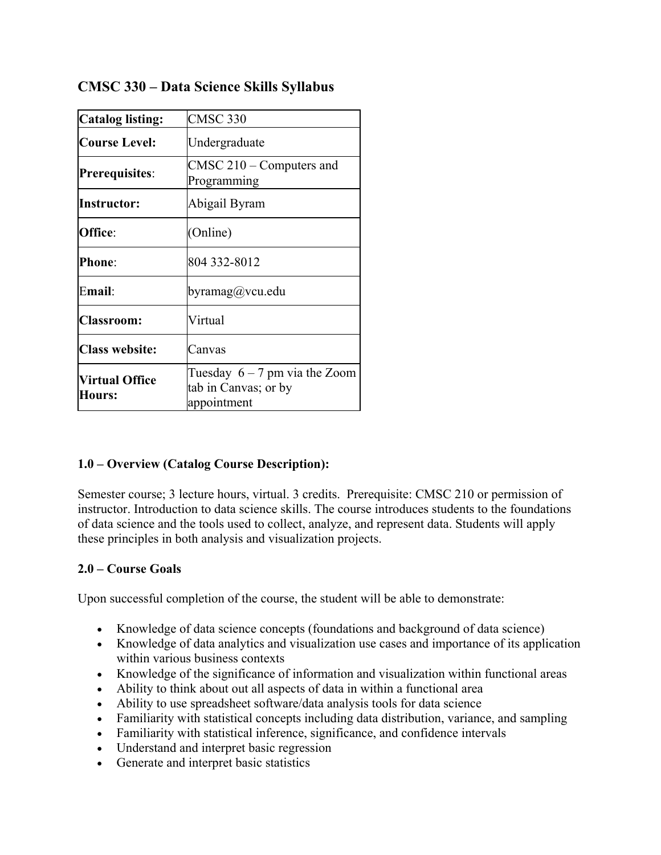| <b>Catalog listing:</b>                | <b>CMSC 330</b>                                                        |  |
|----------------------------------------|------------------------------------------------------------------------|--|
| <b>Course Level:</b>                   | Undergraduate                                                          |  |
| <b>Prerequisites:</b>                  | $CMSC 210 - Computers$ and<br>Programming                              |  |
| Instructor:                            | Abigail Byram                                                          |  |
| Office:                                | (Online)                                                               |  |
| <b>Phone:</b>                          | 804 332-8012                                                           |  |
| Email:                                 | byramag@vcu.edu                                                        |  |
| <b>Classroom:</b>                      | Virtual                                                                |  |
| <b>Class website:</b>                  | Canvas                                                                 |  |
| <b>Virtual Office</b><br><b>Hours:</b> | Tuesday $6 - 7$ pm via the Zoom<br>tab in Canvas; or by<br>appointment |  |

# **CMSC 330 – Data Science Skills Syllabus**

## **1.0 – Overview (Catalog Course Description):**

Semester course; 3 lecture hours, virtual. 3 credits. Prerequisite: CMSC 210 or permission of instructor. Introduction to data science skills. The course introduces students to the foundations of data science and the tools used to collect, analyze, and represent data. Students will apply these principles in both analysis and visualization projects.

## **2.0 – Course Goals**

Upon successful completion of the course, the student will be able to demonstrate:

- Knowledge of data science concepts (foundations and background of data science)
- Knowledge of data analytics and visualization use cases and importance of its application within various business contexts
- Knowledge of the significance of information and visualization within functional areas
- Ability to think about out all aspects of data in within a functional area
- Ability to use spreadsheet software/data analysis tools for data science
- Familiarity with statistical concepts including data distribution, variance, and sampling
- Familiarity with statistical inference, significance, and confidence intervals
- Understand and interpret basic regression
- Generate and interpret basic statistics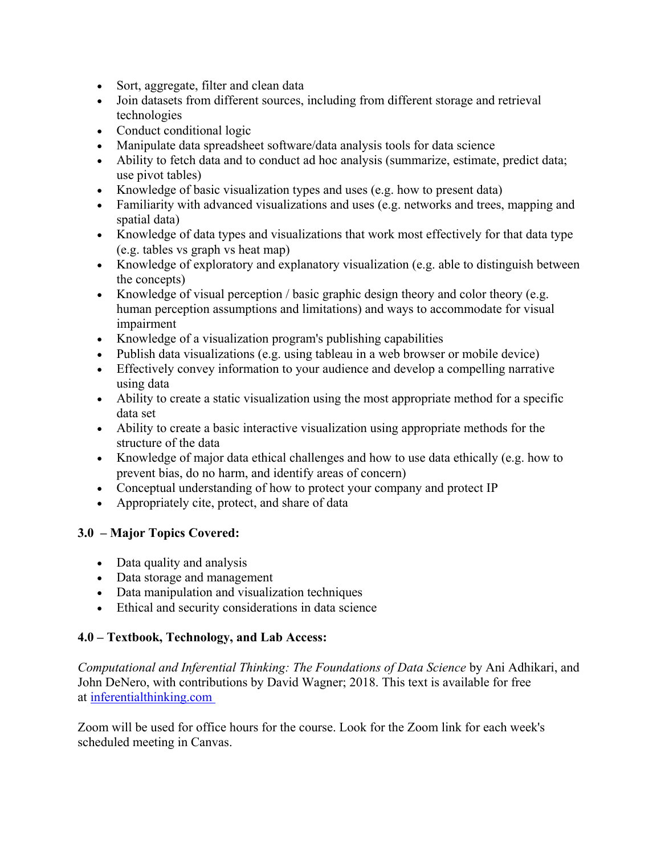- Sort, aggregate, filter and clean data
- Join datasets from different sources, including from different storage and retrieval technologies
- Conduct conditional logic
- Manipulate data spreadsheet software/data analysis tools for data science
- Ability to fetch data and to conduct ad hoc analysis (summarize, estimate, predict data; use pivot tables)
- Knowledge of basic visualization types and uses (e.g. how to present data)
- Familiarity with advanced visualizations and uses (e.g. networks and trees, mapping and spatial data)
- Knowledge of data types and visualizations that work most effectively for that data type (e.g. tables vs graph vs heat map)
- Knowledge of exploratory and explanatory visualization (e.g. able to distinguish between the concepts)
- Knowledge of visual perception  $\ell$  basic graphic design theory and color theory (e.g. human perception assumptions and limitations) and ways to accommodate for visual impairment
- Knowledge of a visualization program's publishing capabilities
- Publish data visualizations (e.g. using tableau in a web browser or mobile device)
- Effectively convey information to your audience and develop a compelling narrative using data
- Ability to create a static visualization using the most appropriate method for a specific data set
- Ability to create a basic interactive visualization using appropriate methods for the structure of the data
- Knowledge of major data ethical challenges and how to use data ethically (e.g. how to prevent bias, do no harm, and identify areas of concern)
- Conceptual understanding of how to protect your company and protect IP
- Appropriately cite, protect, and share of data

## **3.0 – Major Topics Covered:**

- Data quality and analysis
- Data storage and management
- Data manipulation and visualization techniques
- Ethical and security considerations in data science

## **4.0 – Textbook, Technology, and Lab Access:**

*Computational and Inferential Thinking: The Foundations of Data Science* by Ani Adhikari, and John DeNero, with contributions by David Wagner; 2018. This text is available for free at inferentialthinking.com

Zoom will be used for office hours for the course. Look for the Zoom link for each week's scheduled meeting in Canvas.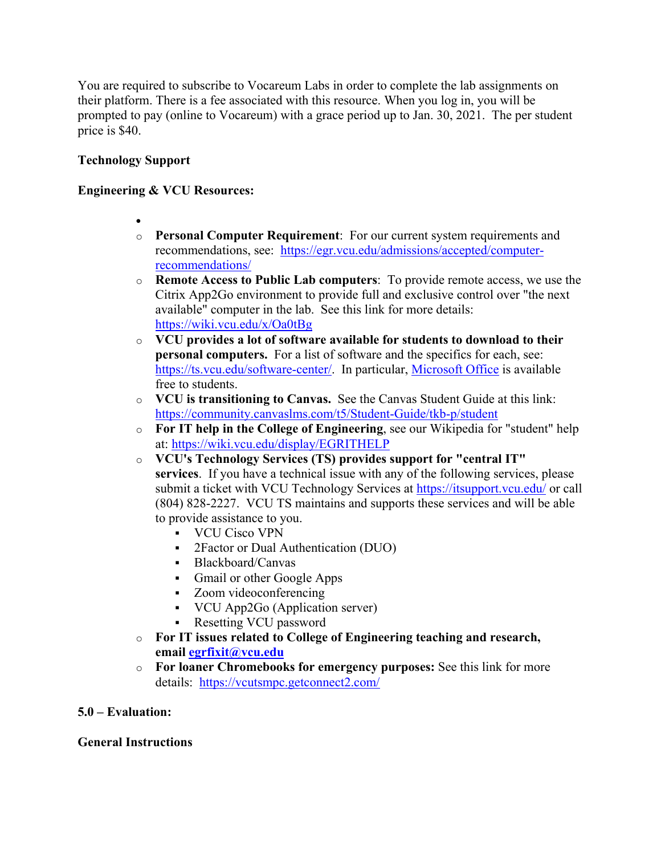You are required to subscribe to Vocareum Labs in order to complete the lab assignments on their platform. There is a fee associated with this resource. When you log in, you will be prompted to pay (online to Vocareum) with a grace period up to Jan. 30, 2021. The per student price is \$40.

## **Technology Support**

### **Engineering & VCU Resources:**

- $\bullet$
- o **Personal Computer Requirement**: For our current system requirements and recommendations, see: https://egr.vcu.edu/admissions/accepted/computerrecommendations/
- o **Remote Access to Public Lab computers**: To provide remote access, we use the Citrix App2Go environment to provide full and exclusive control over "the next available" computer in the lab. See this link for more details: https://wiki.vcu.edu/x/Oa0tBg
- o **VCU provides a lot of software available for students to download to their personal computers.** For a list of software and the specifics for each, see: https://ts.vcu.edu/software-center/. In particular, Microsoft Office is available free to students.
- o **VCU is transitioning to Canvas.** See the Canvas Student Guide at this link: https://community.canvaslms.com/t5/Student-Guide/tkb-p/student
- o **For IT help in the College of Engineering**, see our Wikipedia for "student" help at: https://wiki.vcu.edu/display/EGRITHELP
- o **VCU's Technology Services (TS) provides support for "central IT" services**. If you have a technical issue with any of the following services, please submit a ticket with VCU Technology Services at https://itsupport.vcu.edu/ or call (804) 828-2227. VCU TS maintains and supports these services and will be able to provide assistance to you.
	- VCU Cisco VPN
	- 2Factor or Dual Authentication (DUO)
	- Blackboard/Canvas
	- Gmail or other Google Apps
	- Zoom videoconferencing
	- VCU App2Go (Application server)
	- Resetting VCU password
- o **For IT issues related to College of Engineering teaching and research, email egrfixit@vcu.edu**
- o **For loaner Chromebooks for emergency purposes:** See this link for more details: https://vcutsmpc.getconnect2.com/

## **5.0 – Evaluation:**

## **General Instructions**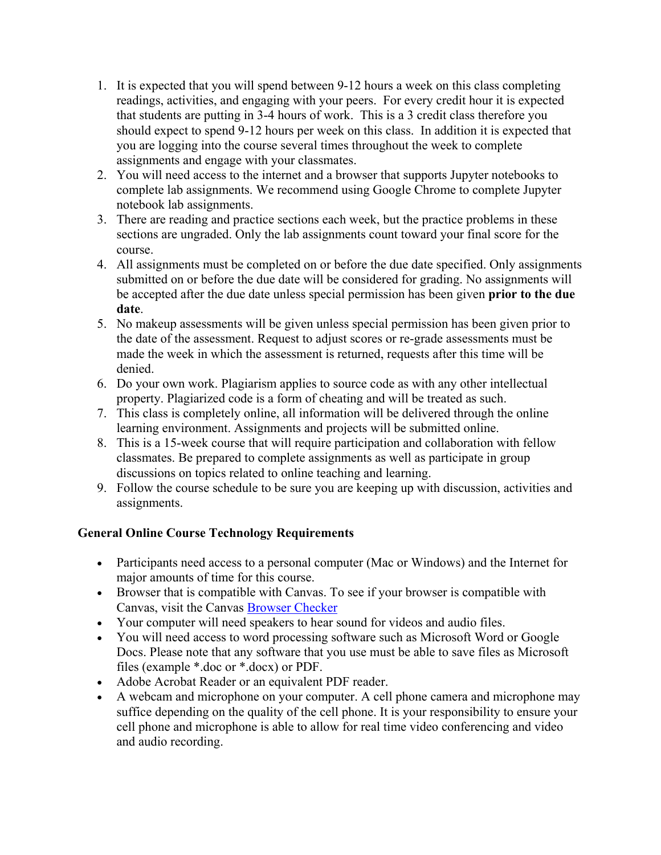- 1. It is expected that you will spend between 9-12 hours a week on this class completing readings, activities, and engaging with your peers. For every credit hour it is expected that students are putting in 3-4 hours of work. This is a 3 credit class therefore you should expect to spend 9-12 hours per week on this class. In addition it is expected that you are logging into the course several times throughout the week to complete assignments and engage with your classmates.
- 2. You will need access to the internet and a browser that supports Jupyter notebooks to complete lab assignments. We recommend using Google Chrome to complete Jupyter notebook lab assignments.
- 3. There are reading and practice sections each week, but the practice problems in these sections are ungraded. Only the lab assignments count toward your final score for the course.
- 4. All assignments must be completed on or before the due date specified. Only assignments submitted on or before the due date will be considered for grading. No assignments will be accepted after the due date unless special permission has been given **prior to the due date**.
- 5. No makeup assessments will be given unless special permission has been given prior to the date of the assessment. Request to adjust scores or re-grade assessments must be made the week in which the assessment is returned, requests after this time will be denied.
- 6. Do your own work. Plagiarism applies to source code as with any other intellectual property. Plagiarized code is a form of cheating and will be treated as such.
- 7. This class is completely online, all information will be delivered through the online learning environment. Assignments and projects will be submitted online.
- 8. This is a 15-week course that will require participation and collaboration with fellow classmates. Be prepared to complete assignments as well as participate in group discussions on topics related to online teaching and learning.
- 9. Follow the course schedule to be sure you are keeping up with discussion, activities and assignments.

## **General Online Course Technology Requirements**

- Participants need access to a personal computer (Mac or Windows) and the Internet for major amounts of time for this course.
- Browser that is compatible with Canvas. To see if your browser is compatible with Canvas, visit the Canvas Browser Checker
- Your computer will need speakers to hear sound for videos and audio files.
- You will need access to word processing software such as Microsoft Word or Google Docs. Please note that any software that you use must be able to save files as Microsoft files (example \*.doc or \*.docx) or PDF.
- Adobe Acrobat Reader or an equivalent PDF reader.
- A webcam and microphone on your computer. A cell phone camera and microphone may suffice depending on the quality of the cell phone. It is your responsibility to ensure your cell phone and microphone is able to allow for real time video conferencing and video and audio recording.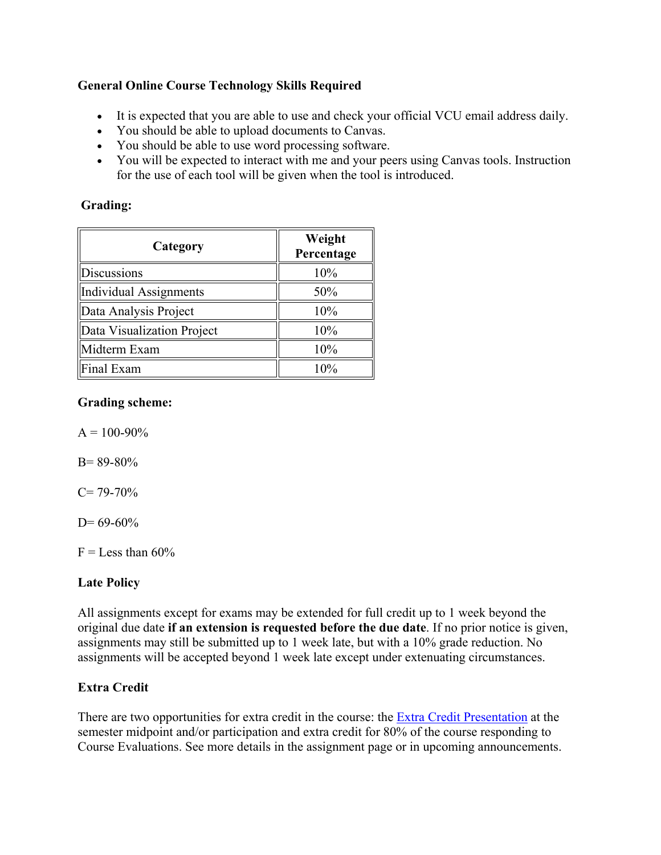## **General Online Course Technology Skills Required**

- It is expected that you are able to use and check your official VCU email address daily.
- You should be able to upload documents to Canvas.
- You should be able to use word processing software.
- You will be expected to interact with me and your peers using Canvas tools. Instruction for the use of each tool will be given when the tool is introduced.

## **Grading:**

| Category                   | Weight<br>Percentage |
|----------------------------|----------------------|
| Discussions                | 10%                  |
| Individual Assignments     | 50%                  |
| Data Analysis Project      | 10%                  |
| Data Visualization Project | 10%                  |
| Midterm Exam               | 10%                  |
| Final Exam                 | $10\%$               |

## **Grading scheme:**

 $A = 100 - 90\%$ 

B= 89-80%

 $C= 79-70%$ 

 $D= 69-60%$ 

 $F =$ Less than 60%

## **Late Policy**

All assignments except for exams may be extended for full credit up to 1 week beyond the original due date **if an extension is requested before the due date**. If no prior notice is given, assignments may still be submitted up to 1 week late, but with a 10% grade reduction. No assignments will be accepted beyond 1 week late except under extenuating circumstances.

## **Extra Credit**

There are two opportunities for extra credit in the course: the **Extra Credit Presentation** at the semester midpoint and/or participation and extra credit for 80% of the course responding to Course Evaluations. See more details in the assignment page or in upcoming announcements.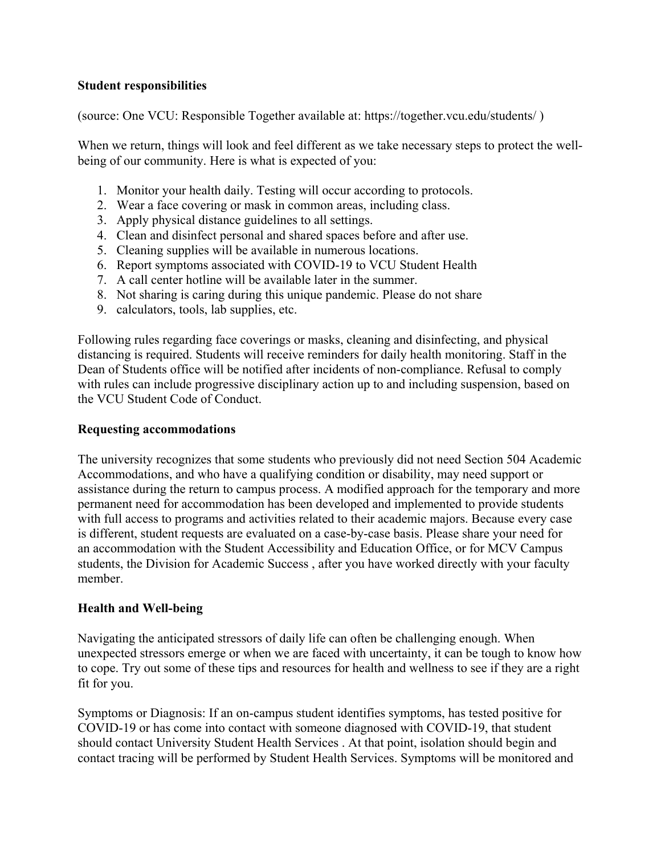### **Student responsibilities**

(source: One VCU: Responsible Together available at: https://together.vcu.edu/students/ )

When we return, things will look and feel different as we take necessary steps to protect the wellbeing of our community. Here is what is expected of you:

- 1. Monitor your health daily. Testing will occur according to protocols.
- 2. Wear a face covering or mask in common areas, including class.
- 3. Apply physical distance guidelines to all settings.
- 4. Clean and disinfect personal and shared spaces before and after use.
- 5. Cleaning supplies will be available in numerous locations.
- 6. Report symptoms associated with COVID-19 to VCU Student Health
- 7. A call center hotline will be available later in the summer.
- 8. Not sharing is caring during this unique pandemic. Please do not share
- 9. calculators, tools, lab supplies, etc.

Following rules regarding face coverings or masks, cleaning and disinfecting, and physical distancing is required. Students will receive reminders for daily health monitoring. Staff in the Dean of Students office will be notified after incidents of non-compliance. Refusal to comply with rules can include progressive disciplinary action up to and including suspension, based on the VCU Student Code of Conduct.

#### **Requesting accommodations**

The university recognizes that some students who previously did not need Section 504 Academic Accommodations, and who have a qualifying condition or disability, may need support or assistance during the return to campus process. A modified approach for the temporary and more permanent need for accommodation has been developed and implemented to provide students with full access to programs and activities related to their academic majors. Because every case is different, student requests are evaluated on a case-by-case basis. Please share your need for an accommodation with the Student Accessibility and Education Office, or for MCV Campus students, the Division for Academic Success , after you have worked directly with your faculty member.

#### **Health and Well-being**

Navigating the anticipated stressors of daily life can often be challenging enough. When unexpected stressors emerge or when we are faced with uncertainty, it can be tough to know how to cope. Try out some of these tips and resources for health and wellness to see if they are a right fit for you.

Symptoms or Diagnosis: If an on-campus student identifies symptoms, has tested positive for COVID-19 or has come into contact with someone diagnosed with COVID-19, that student should contact University Student Health Services . At that point, isolation should begin and contact tracing will be performed by Student Health Services. Symptoms will be monitored and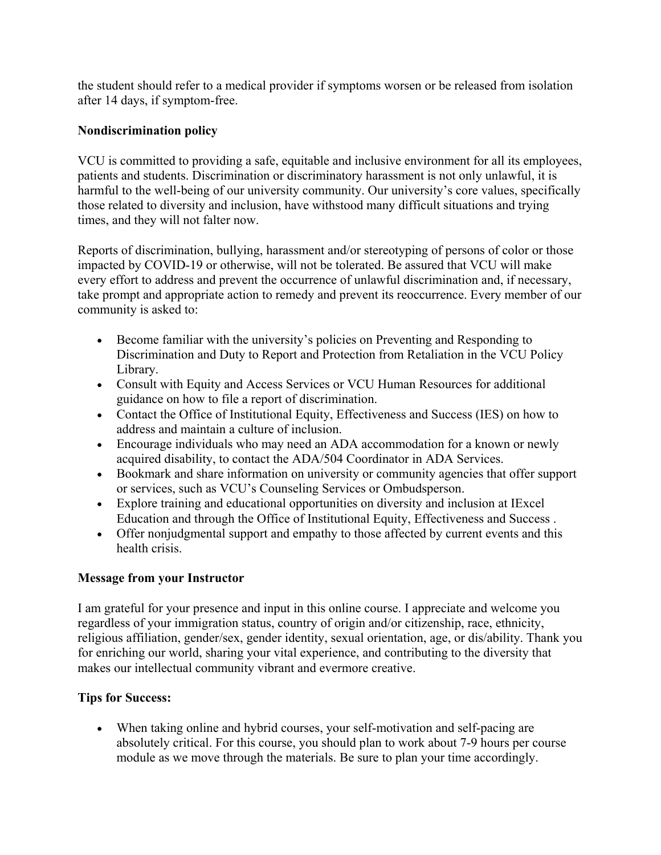the student should refer to a medical provider if symptoms worsen or be released from isolation after 14 days, if symptom-free.

## **Nondiscrimination policy**

VCU is committed to providing a safe, equitable and inclusive environment for all its employees, patients and students. Discrimination or discriminatory harassment is not only unlawful, it is harmful to the well-being of our university community. Our university's core values, specifically those related to diversity and inclusion, have withstood many difficult situations and trying times, and they will not falter now.

Reports of discrimination, bullying, harassment and/or stereotyping of persons of color or those impacted by COVID-19 or otherwise, will not be tolerated. Be assured that VCU will make every effort to address and prevent the occurrence of unlawful discrimination and, if necessary, take prompt and appropriate action to remedy and prevent its reoccurrence. Every member of our community is asked to:

- Become familiar with the university's policies on Preventing and Responding to Discrimination and Duty to Report and Protection from Retaliation in the VCU Policy Library.
- Consult with Equity and Access Services or VCU Human Resources for additional guidance on how to file a report of discrimination.
- Contact the Office of Institutional Equity, Effectiveness and Success (IES) on how to address and maintain a culture of inclusion.
- Encourage individuals who may need an ADA accommodation for a known or newly acquired disability, to contact the ADA/504 Coordinator in ADA Services.
- Bookmark and share information on university or community agencies that offer support or services, such as VCU's Counseling Services or Ombudsperson.
- Explore training and educational opportunities on diversity and inclusion at IExcel Education and through the Office of Institutional Equity, Effectiveness and Success .
- Offer nonjudgmental support and empathy to those affected by current events and this health crisis.

## **Message from your Instructor**

I am grateful for your presence and input in this online course. I appreciate and welcome you regardless of your immigration status, country of origin and/or citizenship, race, ethnicity, religious affiliation, gender/sex, gender identity, sexual orientation, age, or dis/ability. Thank you for enriching our world, sharing your vital experience, and contributing to the diversity that makes our intellectual community vibrant and evermore creative.

## **Tips for Success:**

 When taking online and hybrid courses, your self-motivation and self-pacing are absolutely critical. For this course, you should plan to work about 7-9 hours per course module as we move through the materials. Be sure to plan your time accordingly.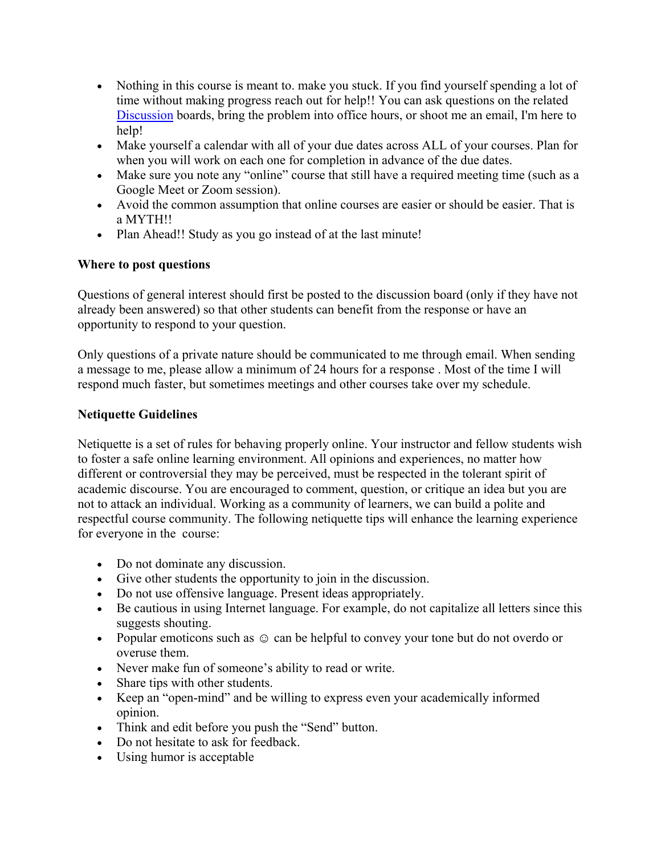- Nothing in this course is meant to. make you stuck. If you find yourself spending a lot of time without making progress reach out for help!! You can ask questions on the related Discussion boards, bring the problem into office hours, or shoot me an email, I'm here to help!
- Make yourself a calendar with all of your due dates across ALL of your courses. Plan for when you will work on each one for completion in advance of the due dates.
- Make sure you note any "online" course that still have a required meeting time (such as a Google Meet or Zoom session).
- Avoid the common assumption that online courses are easier or should be easier. That is a MYTH!!
- Plan Ahead!! Study as you go instead of at the last minute!

## **Where to post questions**

Questions of general interest should first be posted to the discussion board (only if they have not already been answered) so that other students can benefit from the response or have an opportunity to respond to your question.

Only questions of a private nature should be communicated to me through email. When sending a message to me, please allow a minimum of 24 hours for a response . Most of the time I will respond much faster, but sometimes meetings and other courses take over my schedule.

## **Netiquette Guidelines**

Netiquette is a set of rules for behaving properly online. Your instructor and fellow students wish to foster a safe online learning environment. All opinions and experiences, no matter how different or controversial they may be perceived, must be respected in the tolerant spirit of academic discourse. You are encouraged to comment, question, or critique an idea but you are not to attack an individual. Working as a community of learners, we can build a polite and respectful course community. The following netiquette tips will enhance the learning experience for everyone in the course:

- Do not dominate any discussion.
- Give other students the opportunity to join in the discussion.
- Do not use offensive language. Present ideas appropriately.
- Be cautious in using Internet language. For example, do not capitalize all letters since this suggests shouting.
- Popular emoticons such as  $\odot$  can be helpful to convey your tone but do not overdo or overuse them.
- Never make fun of someone's ability to read or write.
- Share tips with other students.
- Keep an "open-mind" and be willing to express even your academically informed opinion.
- Think and edit before you push the "Send" button.
- Do not hesitate to ask for feedback.
- Using humor is acceptable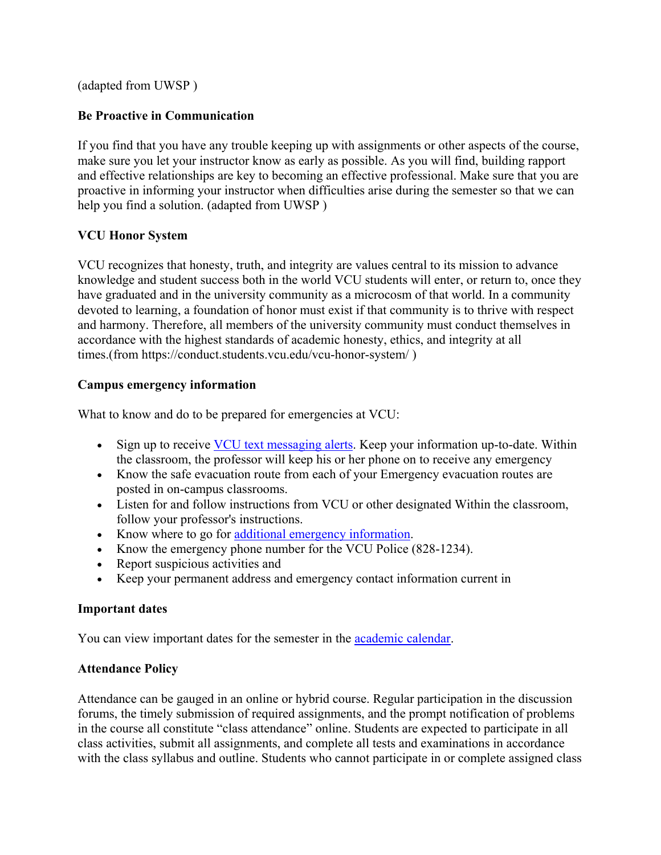(adapted from UWSP )

## **Be Proactive in Communication**

If you find that you have any trouble keeping up with assignments or other aspects of the course, make sure you let your instructor know as early as possible. As you will find, building rapport and effective relationships are key to becoming an effective professional. Make sure that you are proactive in informing your instructor when difficulties arise during the semester so that we can help you find a solution. (adapted from UWSP )

## **VCU Honor System**

VCU recognizes that honesty, truth, and integrity are values central to its mission to advance knowledge and student success both in the world VCU students will enter, or return to, once they have graduated and in the university community as a microcosm of that world. In a community devoted to learning, a foundation of honor must exist if that community is to thrive with respect and harmony. Therefore, all members of the university community must conduct themselves in accordance with the highest standards of academic honesty, ethics, and integrity at all times.(from https://conduct.students.vcu.edu/vcu-honor-system/ )

## **Campus emergency information**

What to know and do to be prepared for emergencies at VCU:

- Sign up to receive VCU text messaging alerts. Keep your information up-to-date. Within the classroom, the professor will keep his or her phone on to receive any emergency
- Know the safe evacuation route from each of your Emergency evacuation routes are posted in on-campus classrooms.
- Listen for and follow instructions from VCU or other designated Within the classroom, follow your professor's instructions.
- Know where to go for additional emergency information.
- Know the emergency phone number for the VCU Police (828-1234).
- Report suspicious activities and
- Keep your permanent address and emergency contact information current in

## **Important dates**

You can view important dates for the semester in the **academic calendar**.

## **Attendance Policy**

Attendance can be gauged in an online or hybrid course. Regular participation in the discussion forums, the timely submission of required assignments, and the prompt notification of problems in the course all constitute "class attendance" online. Students are expected to participate in all class activities, submit all assignments, and complete all tests and examinations in accordance with the class syllabus and outline. Students who cannot participate in or complete assigned class